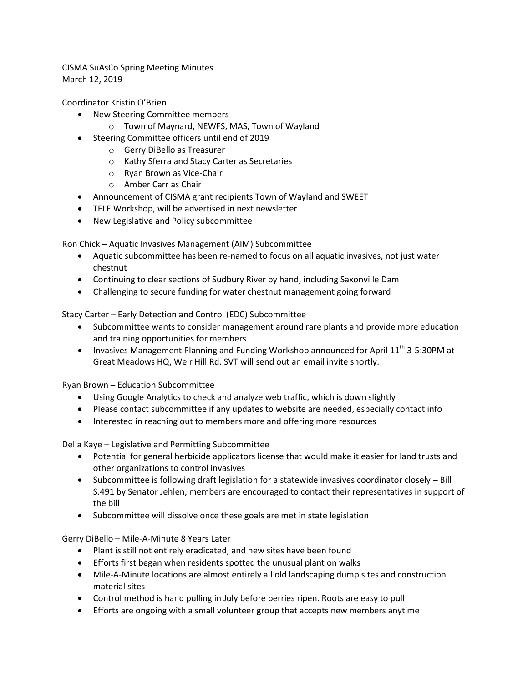CISMA SuAsCo Spring Meeting Minutes March 12, 2019

Coordinator Kristin O'Brien

- New Steering Committee members
	- o Town of Maynard, NEWFS, MAS, Town of Wayland
- Steering Committee officers until end of 2019
	- o Gerry DiBello as Treasurer
	- o Kathy Sferra and Stacy Carter as Secretaries
	- o Ryan Brown as Vice-Chair
	- o Amber Carr as Chair
- Announcement of CISMA grant recipients Town of Wayland and SWEET
- TELE Workshop, will be advertised in next newsletter
- New Legislative and Policy subcommittee

Ron Chick – Aquatic Invasives Management (AIM) Subcommittee

- Aquatic subcommittee has been re-named to focus on all aquatic invasives, not just water chestnut
- Continuing to clear sections of Sudbury River by hand, including Saxonville Dam
- Challenging to secure funding for water chestnut management going forward

Stacy Carter – Early Detection and Control (EDC) Subcommittee

- Subcommittee wants to consider management around rare plants and provide more education and training opportunities for members
- Invasives Management Planning and Funding Workshop announced for April  $11<sup>th</sup>$  3-5:30PM at Great Meadows HQ, Weir Hill Rd. SVT will send out an email invite shortly.

Ryan Brown – Education Subcommittee

- Using Google Analytics to check and analyze web traffic, which is down slightly
- Please contact subcommittee if any updates to website are needed, especially contact info
- Interested in reaching out to members more and offering more resources

Delia Kaye – Legislative and Permitting Subcommittee

- Potential for general herbicide applicators license that would make it easier for land trusts and other organizations to control invasives
- Subcommittee is following draft legislation for a statewide invasives coordinator closely Bill S.491 by Senator Jehlen, members are encouraged to contact their representatives in support of the bill
- Subcommittee will dissolve once these goals are met in state legislation

Gerry DiBello – Mile-A-Minute 8 Years Later

- Plant is still not entirely eradicated, and new sites have been found
- Efforts first began when residents spotted the unusual plant on walks
- Mile-A-Minute locations are almost entirely all old landscaping dump sites and construction material sites
- Control method is hand pulling in July before berries ripen. Roots are easy to pull
- Efforts are ongoing with a small volunteer group that accepts new members anytime